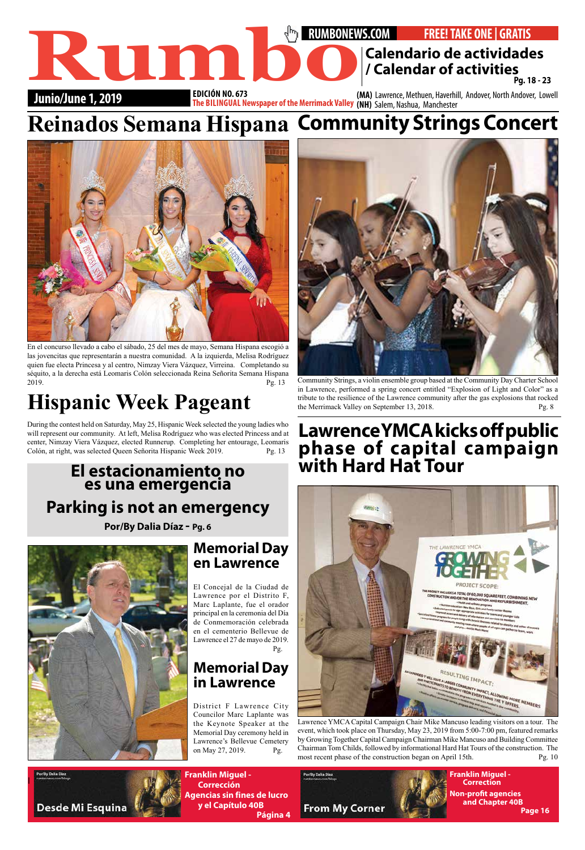### **RUMBONEWS.COM** • **FREE! TAKE ONE | GRATIS Junio/June 1, 2019 EDICION NO. 673 (MA) Lawrence, Methuen, Haverhill, Andover, North Andover, Lowell**<br>The BILINGUAL Newspaper of the Merrimack Valley (NH) Salem, Nashua, Manchester **EDICIÓN NO. 673 Calendario de actividades**<br> **Calendar of actividades**<br> **Punio/June 1, 2019**<br> **Calendar of activities**<br> **Calendar of activities**<br> **Calendar of activities**<br> **Calendar of activities**<br> **Calendar of activities**<br> **Calendar of a Pg. 18 - 23**

l

**Franklin Miguel - Corrección Agencias sin fines de lucro y el Capítulo 40B Página 4**



**Franklin Miguel - Correction Non-profit agencies and Chapter 40B Page 16**



En el concurso llevado a cabo el sábado, 25 del mes de mayo, Semana Hispana escogió a las jovencitas que representarán a nuestra comunidad. A la izquierda, Melisa Rodríguez quien fue electa Princesa y al centro, Nimzay Viera Vázquez, Virreina. Completando su séquito, a la derecha está Leomaris Colón seleccionada Reina Señorita Semana Hispana 2019. Pg. 13

Lawrence YMCA Capital Campaign Chair Mike Mancuso leading visitors on a tour. The event, which took place on Thursday, May 23, 2019 from 5:00-7:00 pm, featured remarks by Growing Together Capital Campaign Chairman Mike Mancuso and Building Committee Chairman Tom Childs, followed by informational Hard Hat Tours of the construction. The most recent phase of the construction began on April 15th. Pg. 10

PoriBy Dalla Disz

Desde Mi Esquina

# **Hispanic Week Pageant**

During the contest held on Saturday, May 25, Hispanic Week selected the young ladies who will represent our community. At left, Melisa Rodríguez who was elected Princess and at center, Nimzay Viera Vázquez, elected Runnerup. Completing her entourage, Leomaris Colón, at right, was selected Queen Señorita Hispanic Week 2019. Pg. 13



Community Strings, a violin ensemble group based at the Community Day Charter School in Lawrence, performed a spring concert entitled "Explosion of Light and Color" as a tribute to the resilience of the Lawrence community after the gas explosions that rocked the Merrimack Valley on September 13, 2018. Pg. 8

#### **Memorial Day en Lawrence**

El Concejal de la Ciudad de Lawrence por el Distrito F, Marc Laplante, fue el orador principal en la ceremonia del Día de Conmemoración celebrada en el cementerio Bellevue de Lawrence el 27 de mayo de 2019. Pg.

#### **Memorial Day in Lawrence**

District F Lawrence City Councilor Marc Laplante was the Keynote Speaker at the Memorial Day ceremony held in Lawrence's Bellevue Cemetery on May 27, 2019. Pg.

## **El estacionamiento no es una emergencia Parking is not an emergency**

**Por/By Dalia Díaz - Pg. 6**



## **Lawrence YMCA kicks off public phase of capital campaign with Hard Hat Tour**



# **Reinados Semana Hispana Community Strings Concert**